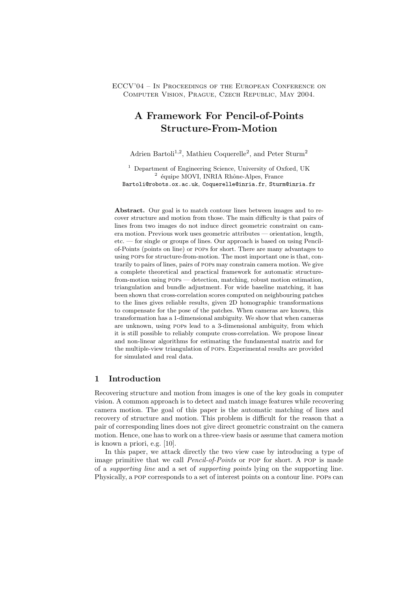ECCV'04 – In Proceedings of the European Conference on Computer Vision, Prague, Czech Republic, May 2004.

# **A Framework For Pencil-of-Points Structure-From-Motion**

Adrien Bartoli<sup>1,2</sup>, Mathieu Coquerelle<sup>2</sup>, and Peter Sturm<sup>2</sup>

<sup>1</sup> Department of Engineering Science, University of Oxford, UK  $^2$ équipe MOVI, INRIA Rhône-Alpes, France Bartoli@robots.ox.ac.uk, Coquerelle@inria.fr, Sturm@inria.fr

**Abstract.** Our goal is to match contour lines between images and to recover structure and motion from those. The main difficulty is that pairs of lines from two images do not induce direct geometric constraint on camera motion. Previous work uses geometric attributes — orientation, length, etc. — for single or groups of lines. Our approach is based on using Pencilof-Points (points on line) or pops for short. There are many advantages to using pops for structure-from-motion. The most important one is that, contrarily to pairs of lines, pairs of pops may constrain camera motion. We give a complete theoretical and practical framework for automatic structurefrom-motion using pops — detection, matching, robust motion estimation, triangulation and bundle adjustment. For wide baseline matching, it has been shown that cross-correlation scores computed on neighbouring patches to the lines gives reliable results, given 2D homographic transformations to compensate for the pose of the patches. When cameras are known, this transformation has a 1-dimensional ambiguity. We show that when cameras are unknown, using pops lead to a 3-dimensional ambiguity, from which it is still possible to reliably compute cross-correlation. We propose linear and non-linear algorithms for estimating the fundamental matrix and for the multiple-view triangulation of pops. Experimental results are provided for simulated and real data.

## **1 Introduction**

Recovering structure and motion from images is one of the key goals in computer vision. A common approach is to detect and match image features while recovering camera motion. The goal of this paper is the automatic matching of lines and recovery of structure and motion. This problem is difficult for the reason that a pair of corresponding lines does not give direct geometric constraint on the camera motion. Hence, one has to work on a three-view basis or assume that camera motion is known a priori, e.g. [10].

In this paper, we attack directly the two view case by introducing a type of image primitive that we call *Pencil-of-Points* or pop for short. A pop is made of a *supporting line* and a set of *supporting points* lying on the supporting line. Physically, a pop corresponds to a set of interest points on a contour line. pops can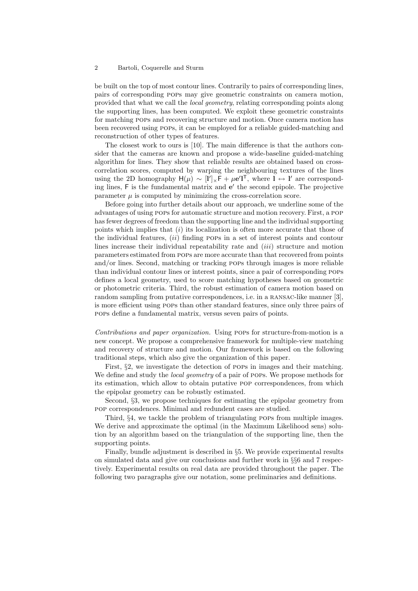be built on the top of most contour lines. Contrarily to pairs of corresponding lines, pairs of corresponding pops may give geometric constraints on camera motion, provided that what we call the *local geometry*, relating corresponding points along the supporting lines, has been computed. We exploit these geometric constraints for matching pops and recovering structure and motion. Once camera motion has been recovered using pops, it can be employed for a reliable guided-matching and reconstruction of other types of features.

The closest work to ours is [10]. The main difference is that the authors consider that the cameras are known and propose a wide-baseline guided-matching algorithm for lines. They show that reliable results are obtained based on crosscorrelation scores, computed by warping the neighbouring textures of the lines using the 2D homography  $H(\mu) \sim [I']_xF + \mu e'I^T$ , where  $I \leftrightarrow I'$  are correspond-<br>ing lines F is the fundamental matrix and  $e'$  the second epipole. The projective ing lines, F is the fundamental matrix and **e**' the second epipole. The projective parameter  $\mu$  is computed by minimizing the cross-correlation score.

Before going into further details about our approach, we underline some of the advantages of using pops for automatic structure and motion recovery. First, a pop has fewer degrees of freedom than the supporting line and the individual supporting points which implies that  $(i)$  its localization is often more accurate that those of the individual features,  $(ii)$  finding POPs in a set of interest points and contour lines increase their individual repeatability rate and  $(iii)$  structure and motion parameters estimated from pops are more accurate than that recovered from points and/or lines. Second, matching or tracking pops through images is more reliable than individual contour lines or interest points, since a pair of corresponding pops defines a local geometry, used to score matching hypotheses based on geometric or photometric criteria. Third, the robust estimation of camera motion based on random sampling from putative correspondences, i.e. in a RANSAC-like manner [3], is more efficient using pops than other standard features, since only three pairs of pops define a fundamental matrix, versus seven pairs of points.

*Contributions and paper organization.* Using pops for structure-from-motion is a new concept. We propose a comprehensive framework for multiple-view matching and recovery of structure and motion. Our framework is based on the following traditional steps, which also give the organization of this paper.

First, §2, we investigate the detection of pops in images and their matching. We define and study the *local geometry* of a pair of pops. We propose methods for its estimation, which allow to obtain putative pop correspondences, from which the epipolar geometry can be robustly estimated.

Second, §3, we propose techniques for estimating the epipolar geometry from pop correspondences. Minimal and redundent cases are studied.

Third, §4, we tackle the problem of triangulating pops from multiple images. We derive and approximate the optimal (in the Maximum Likelihood sens) solution by an algorithm based on the triangulation of the supporting line, then the supporting points.

Finally, bundle adjustment is described in §5. We provide experimental results on simulated data and give our conclusions and further work in §§6 and 7 respectively. Experimental results on real data are provided throughout the paper. The following two paragraphs give our notation, some preliminaries and definitions.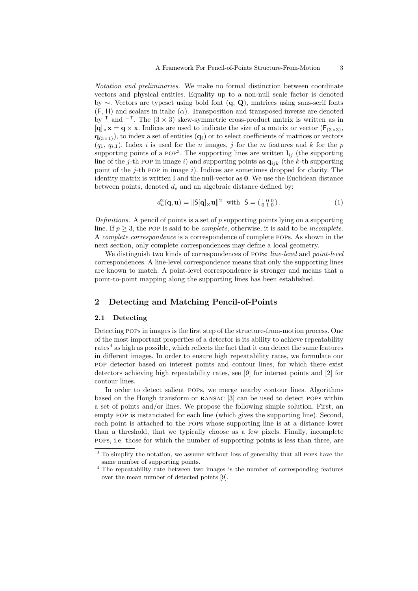*Notation and preliminaries.* We make no formal distinction between coordinate vectors and physical entities. Equality up to a non-null scale factor is denoted by ∼. Vectors are typeset using bold font (**q**, **Q**), matrices using sans-serif fonts  $(F, H)$  and scalars in italic  $(\alpha)$ . Transposition and transposed inverse are denoted by <sup>T</sup> and  $^{-T}$ . The  $(3 \times 3)$  skew-symmetric cross-product matrix is written as in  $[q]_{\times}$ **x** = **q**  $\times$  **x**. Indices are used to indicate the size of a matrix or vector ( $F$ <sub>(3×3)</sub>,  $q_{(3\times1)}$ , to index a set of entities  $(q_i)$  or to select coefficients of matrices or vectors  $(q_1, q_{i,1})$ . Index i is used for the n images, j for the m features and k for the p supporting points of a POP<sup>3</sup>. The supporting lines are written  $\mathbf{l}_{ij}$  (the supporting line of the j-th pop in image i) and supporting points as  $q_{ijk}$  (the k-th supporting point of the  $j$ -th POP in image  $i$ ). Indices are sometimes dropped for clarity. The identity matrix is written I and the null-vector as **0**. We use the Euclidean distance between points, denoted  $d_e$  and an algebraic distance defined by:

$$
d_a^2(\mathbf{q}, \mathbf{u}) = \|\mathbf{S}[\mathbf{q}] \times \mathbf{u}\|^2 \text{ with } \mathbf{S} = \begin{pmatrix} 1 & 0 & 0 \\ 0 & 1 & 0 \end{pmatrix}. \tag{1}
$$

*Definitions.* A pencil of points is a set of p supporting points lying on a supporting line. If  $p \geq 3$ , the POP is said to be *complete*, otherwise, it is said to be *incomplete*. A *complete correspondence* is a correspondence of complete pops. As shown in the next section, only complete correspondences may define a local geometry.

We distinguish two kinds of correspondences of pops: *line-level* and *point-level* correspondences. A line-level correspondence means that only the supporting lines are known to match. A point-level correspondence is stronger and means that a point-to-point mapping along the supporting lines has been established.

## **2 Detecting and Matching Pencil-of-Points**

#### **2.1 Detecting**

Detecting pops in images is the first step of the structure-from-motion process. One of the most important properties of a detector is its ability to achieve repeatability  $rates<sup>4</sup>$  as high as possible, which reflects the fact that it can detect the same features in different images. In order to ensure high repeatability rates, we formulate our pop detector based on interest points and contour lines, for which there exist detectors achieving high repeatability rates, see [9] for interest points and [2] for contour lines.

In order to detect salient pops, we merge nearby contour lines. Algorithms based on the Hough transform or ransac [3] can be used to detect pops within a set of points and/or lines. We propose the following simple solution. First, an empty pop is instanciated for each line (which gives the supporting line). Second, each point is attached to the pops whose supporting line is at a distance lower than a threshold, that we typically choose as a few pixels. Finally, incomplete pops, i.e. those for which the number of supporting points is less than three, are

<sup>&</sup>lt;sup>3</sup> To simplify the notation, we assume without loss of generality that all POPs have the same number of supporting points.

<sup>4</sup> The repeatability rate between two images is the number of corresponding features over the mean number of detected points [9].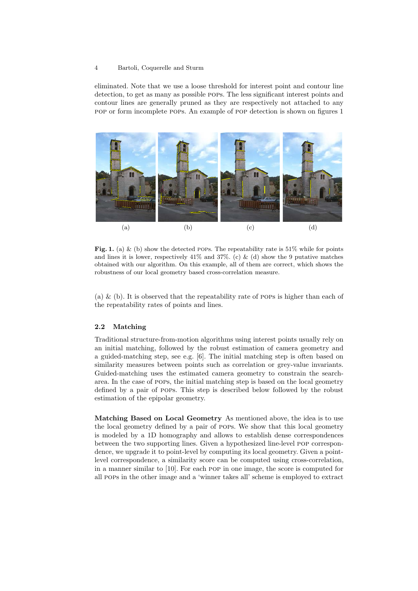eliminated. Note that we use a loose threshold for interest point and contour line detection, to get as many as possible pops. The less significant interest points and contour lines are generally pruned as they are respectively not attached to any pop or form incomplete pops. An example of pop detection is shown on figures 1



**Fig. 1.** (a) & (b) show the detected pops. The repeatability rate is  $51\%$  while for points and lines it is lower, respectively  $41\%$  and  $37\%$ . (c) & (d) show the 9 putative matches obtained with our algorithm. On this example, all of them are correct, which shows the robustness of our local geometry based cross-correlation measure.

(a)  $\&$  (b). It is observed that the repeatability rate of POPs is higher than each of the repeatability rates of points and lines.

#### **2.2 Matching**

Traditional structure-from-motion algorithms using interest points usually rely on an initial matching, followed by the robust estimation of camera geometry and a guided-matching step, see e.g. [6]. The initial matching step is often based on similarity measures between points such as correlation or grey-value invariants. Guided-matching uses the estimated camera geometry to constrain the searcharea. In the case of pops, the initial matching step is based on the local geometry defined by a pair of pops. This step is described below followed by the robust estimation of the epipolar geometry.

**Matching Based on Local Geometry** As mentioned above, the idea is to use the local geometry defined by a pair of pops. We show that this local geometry is modeled by a 1D homography and allows to establish dense correspondences between the two supporting lines. Given a hypothesized line-level pop correspondence, we upgrade it to point-level by computing its local geometry. Given a pointlevel correspondence, a similarity score can be computed using cross-correlation, in a manner similar to [10]. For each pop in one image, the score is computed for all pops in the other image and a 'winner takes all' scheme is employed to extract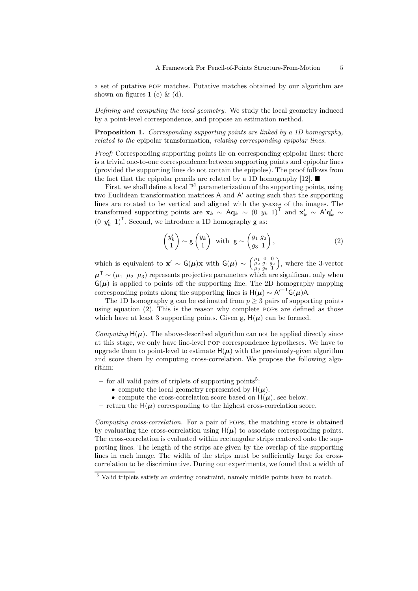a set of putative pop matches. Putative matches obtained by our algorithm are shown on figures 1 (c)  $\&$  (d).

*Defining and computing the local geometry.* We study the local geometry induced by a point-level correspondence, and propose an estimation method.

**Proposition 1.** *Corresponding supporting points are linked by a 1D homography, related to the* epipolar transformation*, relating corresponding epipolar lines.*

*Proof:* Corresponding supporting points lie on corresponding epipolar lines: there is a trivial one-to-one correspondence between supporting points and epipolar lines (provided the supporting lines do not contain the epipoles). The proof follows from the fact that the epipolar pencils are related by a 1D homography [12].  $\blacksquare$ 

First, we shall define a local  $\mathbb{P}^1$  parameterization of the supporting points, using two Euclidean transformation matrices  $A$  and  $A'$  acting such that the supporting lines are rotated to be vertical and aligned with the y-axes of the images. The transformed supporting points are  $\mathbf{x}_k \sim \mathbf{A}\mathbf{q}_k \sim (0 y_k 1)^\mathsf{T}$  and  $\mathbf{x}'_k \sim \mathbf{A}'\mathbf{q}'_k \sim$  $(0 \t y'_k \t 1)^T$ . Second, we introduce a 1D homography **g** as:

$$
\begin{pmatrix} y'_k \\ 1 \end{pmatrix} \sim \mathsf{g} \begin{pmatrix} y_k \\ 1 \end{pmatrix} \text{ with } \mathsf{g} \sim \begin{pmatrix} g_1 & g_2 \\ g_3 & 1 \end{pmatrix},\tag{2}
$$

which is equivalent to **x**' ~  $G(\mu)$ **x** with  $G(\mu) \sim \begin{pmatrix} \mu_1 & 0 & 0 \\ \mu_2 & g_1 & g_2 \\ \mu_3 & g_3 & 1 \end{pmatrix}$  , where the 3-vector  $\mu^{\mathsf{T}} \sim (\mu_1 \mu_2 \mu_3)$  represents projective parameters which are significant only when  $G(\mu)$  is applied to points off the supporting line. The 2D homography mapping corresponding points along the supporting lines is  $H(\mu) \sim A^{-1} G(\mu)A$ .<br>The 1D homography  $\sigma$  can be estimated from  $n > 3$  pairs of support

The 1D homography g can be estimated from  $p \geq 3$  pairs of supporting points using equation (2). This is the reason why complete pops are defined as those which have at least 3 supporting points. Given  $g$ ,  $H(\mu)$  can be formed.

*Computing*  $H(\mu)$ . The above-described algorithm can not be applied directly since at this stage, we only have line-level pop correspondence hypotheses. We have to upgrade them to point-level to estimate  $H(\mu)$  with the previously-given algorithm and score them by computing cross-correlation. We propose the following algorithm:

- **–** for all valid pairs of triplets of supporting points<sup>5</sup>:
	- compute the local geometry represented by  $H(\mu)$ .
	- compute the cross-correlation score based on  $H(\mu)$ , see below.
- return the  $H(\mu)$  corresponding to the highest cross-correlation score.

*Computing cross-correlation.* For a pair of pops, the matching score is obtained by evaluating the cross-correlation using  $H(\mu)$  to associate corresponding points. The cross-correlation is evaluated within rectangular strips centered onto the supporting lines. The length of the strips are given by the overlap of the supporting lines in each image. The width of the strips must be sufficiently large for crosscorrelation to be discriminative. During our experiments, we found that a width of

<sup>&</sup>lt;sup>5</sup> Valid triplets satisfy an ordering constraint, namely middle points have to match.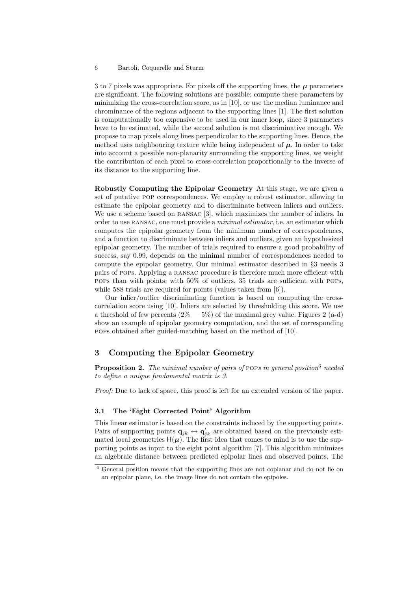3 to 7 pixels was appropriate. For pixels off the supporting lines, the *µ* parameters are significant. The following solutions are possible: compute these parameters by minimizing the cross-correlation score, as in [10], or use the median luminance and chrominance of the regions adjacent to the supporting lines [1]. The first solution is computationally too expensive to be used in our inner loop, since 3 parameters have to be estimated, while the second solution is not discriminative enough. We propose to map pixels along lines perpendicular to the supporting lines. Hence, the method uses neighbouring texture while being independent of  $\mu$ . In order to take into account a possible non-planarity surrounding the supporting lines, we weight the contribution of each pixel to cross-correlation proportionally to the inverse of its distance to the supporting line.

**Robustly Computing the Epipolar Geometry** At this stage, we are given a set of putative pop correspondences. We employ a robust estimator, allowing to estimate the epipolar geometry and to discriminate between inliers and outliers. We use a scheme based on RANSAC [3], which maximizes the number of inliers. In order to use ransac, one must provide a *minimal estimator*, i.e. an estimator which computes the epipolar geometry from the minimum number of correspondences, and a function to discriminate between inliers and outliers, given an hypothesized epipolar geometry. The number of trials required to ensure a good probability of success, say 0.99, depends on the minimal number of correspondences needed to compute the epipolar geometry. Our minimal estimator described in §3 needs 3 pairs of pops. Applying a ransac procedure is therefore much more efficient with pops than with points: with 50% of outliers, 35 trials are sufficient with pops, while 588 trials are required for points (values taken from [6]).

Our inlier/outlier discriminating function is based on computing the crosscorrelation score using [10]. Inliers are selected by thresholding this score. We use a threshold of few percents  $(2\% - 5\%)$  of the maximal grey value. Figures 2 (a-d) show an example of epipolar geometry computation, and the set of corresponding pops obtained after guided-matching based on the method of [10].

## **3 Computing the Epipolar Geometry**

**Proposition 2.** *The minimal number of pairs of* pop*s in general position*<sup>6</sup> *needed to define a unique fundamental matrix is 3.*

*Proof:* Due to lack of space, this proof is left for an extended version of the paper.

#### **3.1 The 'Eight Corrected Point' Algorithm**

This linear estimator is based on the constraints induced by the supporting points. Pairs of supporting points  $\mathbf{q}_{jk} \leftrightarrow \mathbf{q}'_{jk}$  are obtained based on the previously esti-<br>mated local coometries  $\mathbf{H}(\mu)$ . The first idea that comes to mind is to use the supmated local geometries  $H(\mu)$ . The first idea that comes to mind is to use the supporting points as input to the eight point algorithm [7]. This algorithm minimizes an algebraic distance between predicted epipolar lines and observed points. The

<sup>6</sup> General position means that the supporting lines are not coplanar and do not lie on an epipolar plane, i.e. the image lines do not contain the epipoles.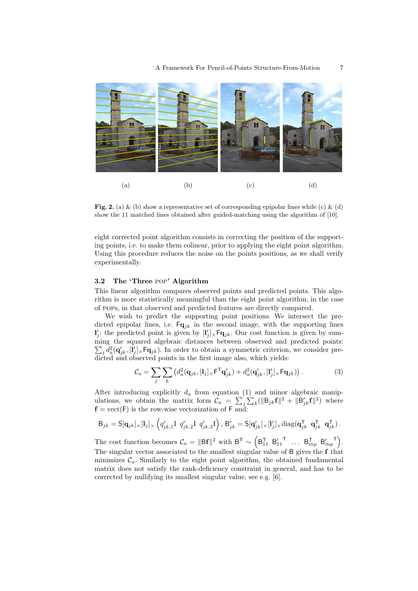

**Fig. 2.** (a) & (b) show a representative set of corresponding epipolar lines while (c) & (d) show the 11 matched lines obtained after guided-matching using the algorithm of [10].

eight corrected point algorithm consists in correcting the position of the supporting points, i.e. to make them colinear, prior to applying the eight point algorithm. Using this procedure reduces the noise on the points positions, as we shall verify experimentally.

#### **3.2 The 'Three** pop**' Algorithm**

This linear algorithm compares observed points and predicted points. This algorithm is more statistically meaningful than the eight point algorithm, in the case of pops, in that observed and predicted features are directly compared.

We wish to predict the supporting point positions. We intersect the predicted epipolar lines, i.e.  $\mathbf{Fq}_{jk}$  in the second image, with the supporting lines  $\mathbf{l}'_j$ : the predicted point is given by  $[\mathbf{l}'_j]_{\times} \mathbf{F} \mathbf{q}_{jk}$ . Our cost function is given by sum-<br>ming the squared algebraic distances between observed and predicted points: ming the squared algebraic distances be tween observed and predicted points:  $\sum_j d_a^2 (\mathbf{q}'_{jk}, [\mathbf{l}'_j] \times \mathbf{Fq}_{jk})$ . In order to obtain a symmetric criterion, we consider predicted and observed points in the first image also, which yields:

$$
\mathcal{C}_a = \sum_j \sum_k \left( d_a^2 (\mathbf{q}_{jk}, [\mathbf{l}_j]_\times \mathbf{F}^\mathsf{T} \mathbf{q}'_{jk}) + d_a^2 (\mathbf{q}'_{jk}, [\mathbf{l}'_j]_\times \mathbf{F} \mathbf{q}_{jk}) \right). \tag{3}
$$

After introducing explicitly  $d_a$  from equation (1) and minor algebraic manipulations, we obtain the matrix form  $C_a = \sum_j \sum_k (||B_{jk}f||^2 + ||B'_{jk}f||^2)$  where  $f = \text{vect}(F)$  is the row-wise vectorization of  $F$  and:  $f = \text{vect}(F)$  is the row-wise vectorization of F and:

$$
\mathsf{B}_{jk} = \mathsf{S}[\mathbf{q}_{jk}]_{\times} [\mathbf{l}_j]_{\times} \left( q'_{jk,1} \mathsf{I} \ q'_{jk,2} \mathsf{I} \ q'_{jk,3} \mathsf{I} \right), \ \mathsf{B}'_{jk} = \mathsf{S}[\mathbf{q}'_{jk}]_{\times} [\mathbf{l}'_j]_{\times} \text{diag}(\mathbf{q}_{jk}^{\mathsf{T}} \ \mathbf{q}_{jk}^{\mathsf{T}} \ \mathbf{q}_{jk}^{\mathsf{T}}).
$$

The cost function becomes  $C_a = ||Bf||^2$  with  $B^T \sim \left(B_{11}^T \quad B_{11}^{\prime T} \quad \dots \quad B_{mp}^T \quad B_{mp}^{\prime T}\right)$ . The singular vector associated to the smallest singular value of B gives the **f** that minimizes  $\mathcal{C}$ . Similarly to the eight point algorithm, the obtained fundamental minimizes  $\mathcal{C}_a$ . Similarly to the eight point algorithm, the obtained fundamental matrix does not satisfy the rank-deficiency constraint in general, and has to be corrected by nullifying its smallest singular value, see e.g. [6].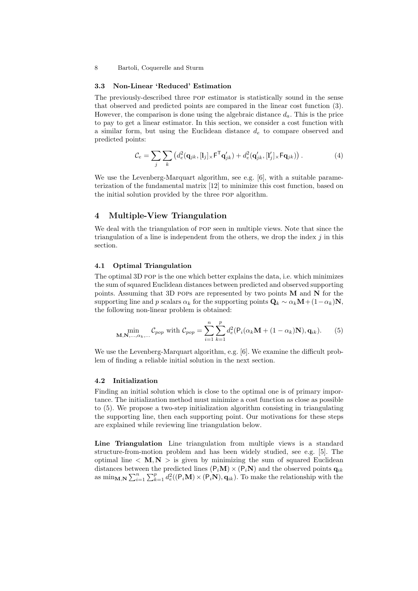#### **3.3 Non-Linear 'Reduced' Estimation**

The previously-described three pop estimator is statistically sound in the sense that observed and predicted points are compared in the linear cost function (3). However, the comparison is done using the algebraic distance  $d_a$ . This is the price to pay to get a linear estimator. In this section, we consider a cost function with a similar form, but using the Euclidean distance  $d_e$  to compare observed and predicted points:

$$
\mathcal{C}_e = \sum_j \sum_k \left( d_e^2(\mathbf{q}_{jk}, [\mathbf{l}_j]_\times \mathbf{F}^\mathsf{T} \mathbf{q}'_{jk}) + d_e^2(\mathbf{q}'_{jk}, [\mathbf{l}'_j]_\times \mathbf{F} \mathbf{q}_{jk}) \right). \tag{4}
$$

We use the Levenberg-Marquart algorithm, see e.g. [6], with a suitable parameterization of the fundamental matrix [12] to minimize this cost function, based on the initial solution provided by the three pop algorithm.

## **4 Multiple-View Triangulation**

We deal with the triangulation of pop seen in multiple views. Note that since the triangulation of a line is independent from the others, we drop the index  $j$  in this section.

#### **4.1 Optimal Triangulation**

The optimal 3D pop is the one which better explains the data, i.e. which minimizes the sum of squared Euclidean distances between predicted and observed supporting points. Assuming that 3D pops are represented by two points **M** and **N** for the supporting line and p scalars  $\alpha_k$  for the supporting points  $\mathbf{Q}_k \sim \alpha_k \mathbf{M} + (1-\alpha_k)\mathbf{N}$ , the following non-linear problem is obtained:

$$
\min_{\mathbf{M}, \mathbf{N}, \dots, \alpha_k, \dots} C_{pop} \text{ with } C_{pop} = \sum_{i=1}^n \sum_{k=1}^p d_e^2 (\mathsf{P}_i(\alpha_k \mathbf{M} + (1 - \alpha_k) \mathbf{N}), \mathbf{q}_{ik}). \tag{5}
$$

We use the Levenberg-Marquart algorithm, e.g. [6]. We examine the difficult problem of finding a reliable initial solution in the next section.

### **4.2 Initialization**

Finding an initial solution which is close to the optimal one is of primary importance. The initialization method must minimize a cost function as close as possible to (5). We propose a two-step initialization algorithm consisting in triangulating the supporting line, then each supporting point. Our motivations for these steps are explained while reviewing line triangulation below.

**Line Triangulation** Line triangulation from multiple views is a standard structure-from-motion problem and has been widely studied, see e.g. [5]. The optimal line  $\langle M, N \rangle$  is given by minimizing the sum of squared Euclidean distances between the predicted lines  $(P_i \mathbf{M}) \times (P_i \mathbf{N})$  and the observed points  $\mathbf{q}_{ik}$ as  $\min_{\mathbf{M},\mathbf{N}} \sum_{i=1}^{n} \sum_{k=1}^{p} d_e^2((\mathsf{P}_i\mathbf{M}) \times (\mathsf{P}_i\mathbf{N}), \mathbf{q}_{ik})$ . To make the relationship with the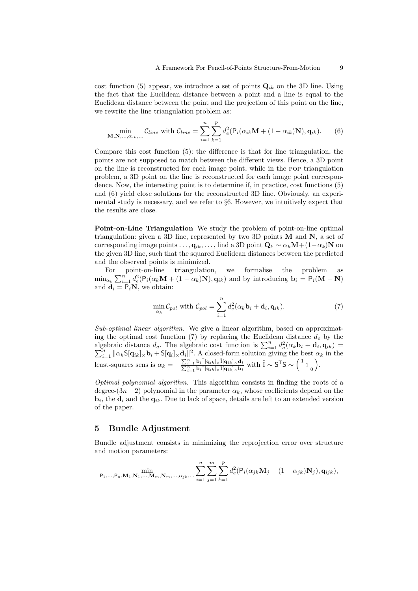cost function (5) appear, we introduce a set of points  $\mathbf{Q}_{ik}$  on the 3D line. Using the fact that the Euclidean distance between a point and a line is equal to the Euclidean distance between the point and the projection of this point on the line, we rewrite the line triangulation problem as:

$$
\min_{\mathbf{M}, \mathbf{N}, \dots, \alpha_{ik}, \dots} C_{line} \text{ with } C_{line} = \sum_{i=1}^{n} \sum_{k=1}^{p} d_e^2 (\mathsf{P}_i(\alpha_{ik} \mathbf{M} + (1 - \alpha_{ik}) \mathbf{N}), \mathbf{q}_{ik}). \tag{6}
$$

Compare this cost function (5): the difference is that for line triangulation, the points are not supposed to match between the different views. Hence, a 3D point on the line is reconstructed for each image point, while in the pop triangulation problem, a 3D point on the line is reconstructed for each image point correspondence. Now, the interesting point is to determine if, in practice, cost functions (5) and (6) yield close solutions for the reconstructed 3D line. Obviously, an experimental study is necessary, and we refer to §6. However, we intuitively expect that the results are close.

**Point-on-Line Triangulation** We study the problem of point-on-line optimal triangulation: given a 3D line, represented by two 3D points **M** and **N**, a set of corresponding image points  $\dots$ ,  $\mathbf{q}_{ik},\dots$ , find a 3D point  $\mathbf{Q}_k \sim \alpha_k \mathbf{M} + (1-\alpha_k)\mathbf{N}$  on the given 3D line, such that the squared Euclidean distances between the predicted and the observed points is minimized.

For point-on-line triangulation, we formalise the problem as  $\min_{\alpha_k} \sum_{i=1}^n d_e^2 (P_i(\alpha_k \mathbf{M} + (1 - \alpha_k)\mathbf{N}), \mathbf{q}_{ik})$  and by introducing  $\mathbf{b}_i = P_i(\mathbf{M} - \mathbf{N})$ and  $\mathbf{d}_i = \mathsf{P}_i \mathbf{N}$ , we obtain:

$$
\min_{\alpha_k} C_{pol} \text{ with } C_{pol} = \sum_{i=1}^n d_e^2(\alpha_k \mathbf{b}_i + \mathbf{d}_i, \mathbf{q}_{ik}).
$$
\n(7)

*Sub-optimal linear algorithm.* We give a linear algorithm, based on approximating the optimal cost function (7) by replacing the Euclidean distance  $d_e$  by the algebraic distance  $d_a$ . The algebraic cost function is  $\sum_{i=1}^n d_a^2(\alpha_k \mathbf{b}_i + \mathbf{d}_i)$ <br> $\sum_{i=1}^n d_a^2(\alpha_k \mathbf{b}_i + \mathbf{d}_i)$ <br> $\sum_{i=1}^n d_a^2(\alpha_k \mathbf{b}_i + \mathbf{d}_i)$ algebraic distance  $d_a$ . The algebraic cost function is  $\sum_{i=1}^n d_a^2(\alpha_k \mathbf{b}_i + \mathbf{d}_i, \mathbf{q}_{ik}) =$ <br> $\sum_{i=1}^n ||\alpha_k \mathbf{S}[\mathbf{q}_{ik}]_{\times} \mathbf{b}_i + \mathbf{S}[\mathbf{q}_i]_{\times} \mathbf{d}_i||^2$ . A closed-form solution giving the best  $\alpha_k$  in th least-squares sens is  $\alpha_k = -\frac{\sum_{i=1}^n \mathbf{b}_i^\top [\mathbf{q}_{ik}] \times \tilde{\mathbf{l}} [\mathbf{q}_{ik}] \times \mathbf{d}_i}{\sum_{i=1}^n \mathbf{b}_i^\top [\mathbf{q}_{ik}] \times \tilde{\mathbf{l}} [\mathbf{q}_{ik}] \times \mathbf{b}_i}$  with  $\tilde{\mathbf{l}} \sim \mathsf{S}^\top \mathsf{S} \sim {\begin{pmatrix} 1 & 0 & 0 \\ 0 & 1 & 0 \\ 0 & 0 & 1 \end{pmatrix}}$ .

*Optimal polynomial algorithm.* This algorithm consists in finding the roots of a degree- $(3n-2)$  polynomial in the parameter  $\alpha_k$ , whose coefficients depend on the  $\mathbf{b}_i$ , the  $\mathbf{d}_i$  and the  $\mathbf{q}_{ik}$ . Due to lack of space, details are left to an extended version of the paper.

### **5 Bundle Adjustment**

Bundle adjustment consists in minimizing the reprojection error over structure and motion parameters:

$$
\min_{\mathsf{P}_{1},...,\mathsf{P}_{n},\mathbf{M}_{1},\mathbf{N}_{1},...,\mathbf{M}_{m},\mathbf{N}_{m},...,\alpha_{jk},...} \sum_{i=1}^{n} \sum_{j=1}^{m} \sum_{k=1}^{p} d_{e}^{2} (\mathsf{P}_{i}(\alpha_{jk}\mathbf{M}_{j} + (1-\alpha_{jk})\mathbf{N}_{j}),\mathbf{q}_{ijk}),
$$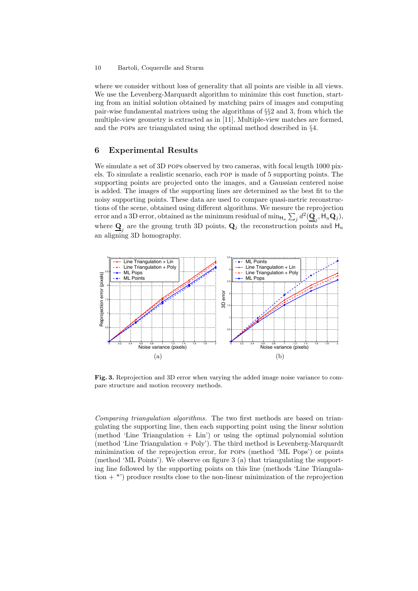where we consider without loss of generality that all points are visible in all views. We use the Levenberg-Marquardt algorithm to minimize this cost function, starting from an initial solution obtained by matching pairs of images and computing pair-wise fundamental matrices using the algorithms of §§2 and 3, from which the multiple-view geometry is extracted as in [11]. Multiple-view matches are formed, and the pops are triangulated using the optimal method described in §4.

## **6 Experimental Results**

We simulate a set of 3D pops observed by two cameras, with focal length 1000 pixels. To simulate a realistic scenario, each pop is made of 5 supporting points. The supporting points are projected onto the images, and a Gaussian centered noise is added. The images of the supporting lines are determined as the best fit to the noisy supporting points. These data are used to compare quasi-metric reconstructions of the scene, obtained using different algorithms. We mesure the reprojection error and a 3D error, obtained as the minimum residual of  $\min_{H_u} \sum_j d^2(\mathbf{Q}_j, \mathsf{H}_u \mathbf{Q}_j)$ ,<br>where  $\mathbf{\Omega}$  are the groung truth 3D points.  $\mathbf{\Omega}$  the reconstruction points and  $\mathbf{H}$ where  $\mathbf{Q}_j$  are the groung truth 3D points,  $\mathbf{Q}_j$  the reconstruction points and  $\mathbf{H}_u$ <br>an aligning 3D homography an aligning 3D homography.



**Fig. 3.** Reprojection and 3D error when varying the added image noise variance to compare structure and motion recovery methods.

*Comparing triangulation algorithms.* The two first methods are based on triangulating the supporting line, then each supporting point using the linear solution (method 'Line Triangulation  $+$  Lin') or using the optimal polynomial solution (method 'Line Triangulation  $+$  Poly'). The third method is Levenberg-Marquardt minimization of the reprojection error, for pops (method 'ML Pops') or points (method 'ML Points'). We observe on figure 3 (a) that triangulating the supporting line followed by the supporting points on this line (methods 'Line Triangulation  $+$ <sup>\*'</sup>) produce results close to the non-linear minimization of the reprojection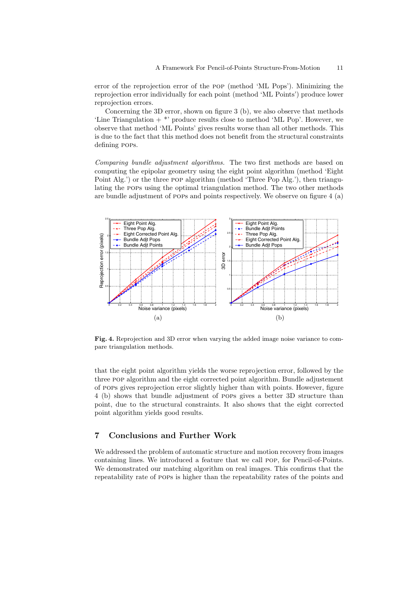error of the reprojection error of the pop (method 'ML Pops'). Minimizing the reprojection error individually for each point (method 'ML Points') produce lower reprojection errors.

Concerning the 3D error, shown on figure 3 (b), we also observe that methods 'Line Triangulation  $+$ <sup>\*</sup>' produce results close to method 'ML Pop'. However, we observe that method 'ML Points' gives results worse than all other methods. This is due to the fact that this method does not benefit from the structural constraints defining pops.

*Comparing bundle adjustment algorithms.* The two first methods are based on computing the epipolar geometry using the eight point algorithm (method 'Eight Point Alg.') or the three pop algorithm (method 'Three Pop Alg.'), then triangulating the pops using the optimal triangulation method. The two other methods are bundle adjustment of pops and points respectively. We observe on figure 4 (a)



**Fig. 4.** Reprojection and 3D error when varying the added image noise variance to compare triangulation methods.

that the eight point algorithm yields the worse reprojection error, followed by the three pop algorithm and the eight corrected point algorithm. Bundle adjustement of pops gives reprojection error slightly higher than with points. However, figure 4 (b) shows that bundle adjustment of pops gives a better 3D structure than point, due to the structural constraints. It also shows that the eight corrected point algorithm yields good results.

# **7 Conclusions and Further Work**

We addressed the problem of automatic structure and motion recovery from images containing lines. We introduced a feature that we call pop, for Pencil-of-Points. We demonstrated our matching algorithm on real images. This confirms that the repeatability rate of pops is higher than the repeatability rates of the points and